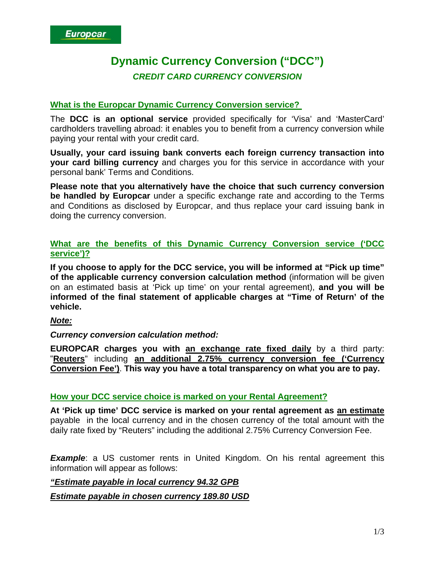# **Dynamic Currency Conversion ("DCC")**  *CREDIT CARD CURRENCY CONVERSION*

# **What is the Europcar Dynamic Currency Conversion service?**

The **DCC is an optional service** provided specifically for 'Visa' and 'MasterCard' cardholders travelling abroad: it enables you to benefit from a currency conversion while paying your rental with your credit card.

**Usually, your card issuing bank converts each foreign currency transaction into your card billing currency** and charges you for this service in accordance with your personal bank' Terms and Conditions.

**Please note that you alternatively have the choice that such currency conversion be handled by Europcar** under a specific exchange rate and according to the Terms and Conditions as disclosed by Europcar, and thus replace your card issuing bank in doing the currency conversion.

## **What are the benefits of this Dynamic Currency Conversion service ('DCC service')?**

**If you choose to apply for the DCC service, you will be informed at "Pick up time" of the applicable currency conversion calculation method** (information will be given on an estimated basis at 'Pick up time' on your rental agreement), **and you will be informed of the final statement of applicable charges at "Time of Return' of the vehicle.** 

# *Note:*

# *Currency conversion calculation method:*

**EUROPCAR charges you with an exchange rate fixed daily** by a third party: "**Reuters**" including **an additional 2.75% currency conversion fee ('Currency Conversion Fee')**. **This way you have a total transparency on what you are to pay.**

# **How your DCC service choice is marked on your Rental Agreement?**

**At 'Pick up time' DCC service is marked on your rental agreement as an estimate** payable in the local currency and in the chosen currency of the total amount with the daily rate fixed by "Reuters" including the additional 2.75% Currency Conversion Fee.

**Example**: a US customer rents in United Kingdom. On his rental agreement this information will appear as follows:

# *"Estimate payable in local currency 94.32 GPB*

*Estimate payable in chosen currency 189.80 USD*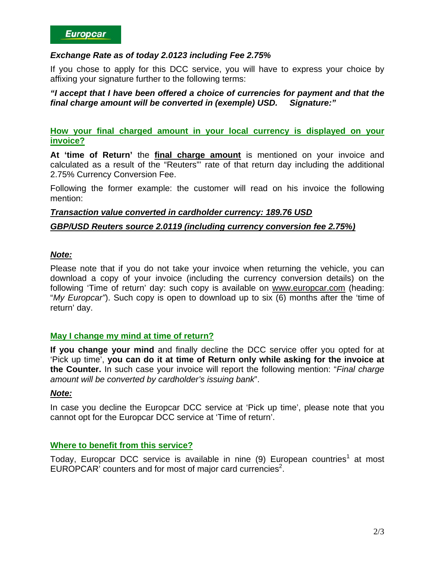## *Exchange Rate as of today 2.0123 including Fee 2.75%*

If you chose to apply for this DCC service, you will have to express your choice by affixing your signature further to the following terms:

#### *"I accept that I have been offered a choice of currencies for payment and that the final charge amount will be converted in (exemple) USD. Signature:"*

**How your final charged amount in your local currency is displayed on your invoice?**

**At 'time of Return'** the **final charge amount** is mentioned on your invoice and calculated as a result of the "Reuters"' rate of that return day including the additional 2.75% Currency Conversion Fee.

Following the former example: the customer will read on his invoice the following mention:

#### *Transaction value converted in cardholder currency: 189.76 USD*

#### *GBP/USD Reuters source 2.0119 (including currency conversion fee 2.75%)*

#### *Note:*

Please note that if you do not take your invoice when returning the vehicle, you can download a copy of your invoice (including the currency conversion details) on the following 'Time of return' day: such copy is available on [www.europcar.com](http://www.europcar.com/) (heading: "*My Europcar"*). Such copy is open to download up to six (6) months after the 'time of return' day.

# **May I change my mind at time of return?**

**If you change your mind** and finally decline the DCC service offer you opted for at 'Pick up time', **you can do it at time of Return only while asking for the invoice at the Counter.** In such case your invoice will report the following mention: "*Final charge amount will be converted by cardholder's issuing bank*".

#### *Note:*

In case you decline the Europcar DCC service at 'Pick up time', please note that you cannot opt for the Europcar DCC service at 'Time of return'.

# **Where to benefit from this service?**

Today, Europcar DCC service is available in nine  $(9)$  European countries<sup>[1](#page-2-0)</sup> at most EUROPCAR<sup> $\dot{ }$ </sup> counters and for most of major card currencies<sup>2</sup>[.](#page-2-1)